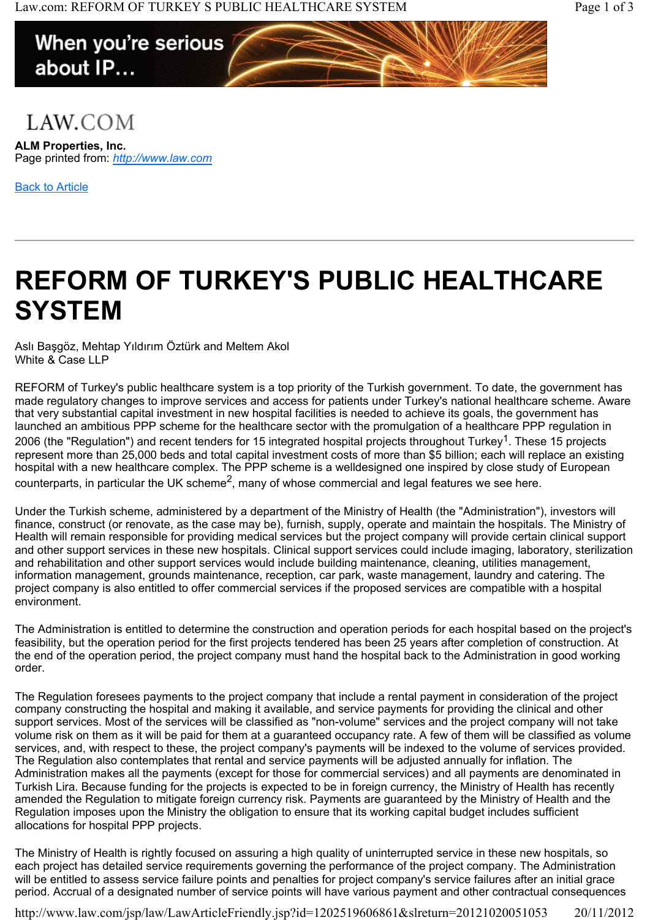## When you're serious about IP...

## LAW.COM

**ALM Properties, Inc.** Page printed from: *http://www.law.com*

Back to Article

## **REFORM OF TURKEY'S PUBLIC HEALTHCARE SYSTEM**

Aslı Başgöz, Mehtap Yıldırım Öztürk and Meltem Akol White & Case LLP

REFORM of Turkey's public healthcare system is a top priority of the Turkish government. To date, the government has made regulatory changes to improve services and access for patients under Turkey's national healthcare scheme. Aware that very substantial capital investment in new hospital facilities is needed to achieve its goals, the government has launched an ambitious PPP scheme for the healthcare sector with the promulgation of a healthcare PPP regulation in 2006 (the "Regulation") and recent tenders for 15 integrated hospital projects throughout Turkey<sup>1</sup>. These 15 projects represent more than 25,000 beds and total capital investment costs of more than \$5 billion; each will replace an existing hospital with a new healthcare complex. The PPP scheme is a welldesigned one inspired by close study of European counterparts, in particular the UK scheme<sup>2</sup>, many of whose commercial and legal features we see here.

Under the Turkish scheme, administered by a department of the Ministry of Health (the "Administration"), investors will finance, construct (or renovate, as the case may be), furnish, supply, operate and maintain the hospitals. The Ministry of Health will remain responsible for providing medical services but the project company will provide certain clinical support and other support services in these new hospitals. Clinical support services could include imaging, laboratory, sterilization and rehabilitation and other support services would include building maintenance, cleaning, utilities management, information management, grounds maintenance, reception, car park, waste management, laundry and catering. The project company is also entitled to offer commercial services if the proposed services are compatible with a hospital environment.

The Administration is entitled to determine the construction and operation periods for each hospital based on the project's feasibility, but the operation period for the first projects tendered has been 25 years after completion of construction. At the end of the operation period, the project company must hand the hospital back to the Administration in good working order.

The Regulation foresees payments to the project company that include a rental payment in consideration of the project company constructing the hospital and making it available, and service payments for providing the clinical and other support services. Most of the services will be classified as "non-volume" services and the project company will not take volume risk on them as it will be paid for them at a guaranteed occupancy rate. A few of them will be classified as volume services, and, with respect to these, the project company's payments will be indexed to the volume of services provided. The Regulation also contemplates that rental and service payments will be adjusted annually for inflation. The Administration makes all the payments (except for those for commercial services) and all payments are denominated in Turkish Lira. Because funding for the projects is expected to be in foreign currency, the Ministry of Health has recently amended the Regulation to mitigate foreign currency risk. Payments are guaranteed by the Ministry of Health and the Regulation imposes upon the Ministry the obligation to ensure that its working capital budget includes sufficient allocations for hospital PPP projects.

The Ministry of Health is rightly focused on assuring a high quality of uninterrupted service in these new hospitals, so each project has detailed service requirements governing the performance of the project company. The Administration will be entitled to assess service failure points and penalties for project company's service failures after an initial grace period. Accrual of a designated number of service points will have various payment and other contractual consequences

http://www.law.com/jsp/law/LawArticleFriendly.jsp?id=1202519606861&slreturn=20121020051053 20/11/2012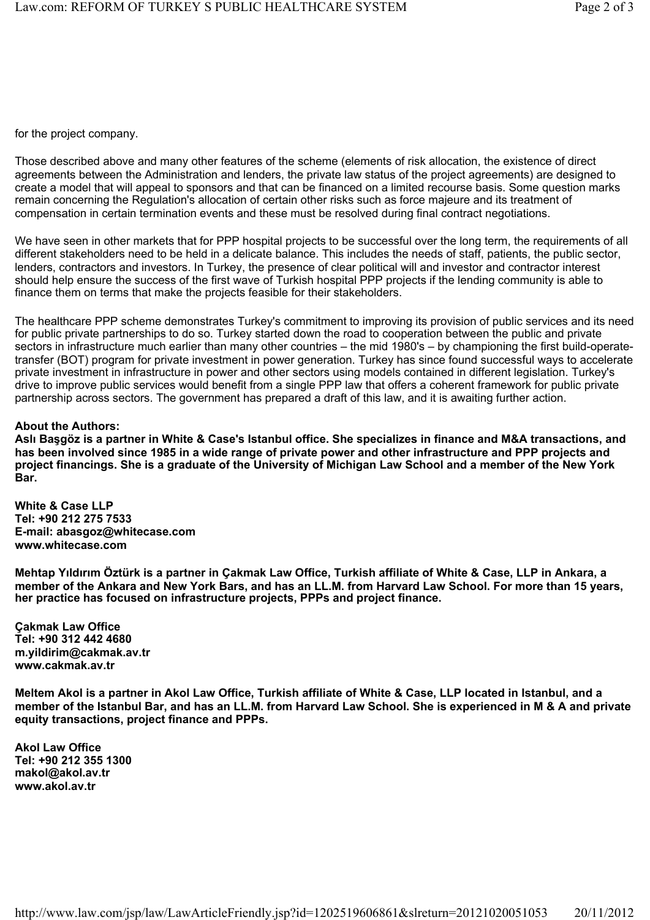for the project company.

Those described above and many other features of the scheme (elements of risk allocation, the existence of direct agreements between the Administration and lenders, the private law status of the project agreements) are designed to create a model that will appeal to sponsors and that can be financed on a limited recourse basis. Some question marks remain concerning the Regulation's allocation of certain other risks such as force majeure and its treatment of compensation in certain termination events and these must be resolved during final contract negotiations.

We have seen in other markets that for PPP hospital projects to be successful over the long term, the requirements of all different stakeholders need to be held in a delicate balance. This includes the needs of staff, patients, the public sector, lenders, contractors and investors. In Turkey, the presence of clear political will and investor and contractor interest should help ensure the success of the first wave of Turkish hospital PPP projects if the lending community is able to finance them on terms that make the projects feasible for their stakeholders.

The healthcare PPP scheme demonstrates Turkey's commitment to improving its provision of public services and its need for public private partnerships to do so. Turkey started down the road to cooperation between the public and private sectors in infrastructure much earlier than many other countries – the mid 1980's – by championing the first build-operatetransfer (BOT) program for private investment in power generation. Turkey has since found successful ways to accelerate private investment in infrastructure in power and other sectors using models contained in different legislation. Turkey's drive to improve public services would benefit from a single PPP law that offers a coherent framework for public private partnership across sectors. The government has prepared a draft of this law, and it is awaiting further action.

## **About the Authors:**

**Aslı Başgöz is a partner in White & Case's Istanbul office. She specializes in finance and M&A transactions, and has been involved since 1985 in a wide range of private power and other infrastructure and PPP projects and project financings. She is a graduate of the University of Michigan Law School and a member of the New York Bar.** 

**White & Case LLP Tel: +90 212 275 7533 E-mail: abasgoz@whitecase.com www.whitecase.com** 

**Mehtap Yıldırım Öztürk is a partner in Çakmak Law Office, Turkish affiliate of White & Case, LLP in Ankara, a member of the Ankara and New York Bars, and has an LL.M. from Harvard Law School. For more than 15 years, her practice has focused on infrastructure projects, PPPs and project finance.** 

**Çakmak Law Office Tel: +90 312 442 4680 m.yildirim@cakmak.av.tr www.cakmak.av.tr**

**Meltem Akol is a partner in Akol Law Office, Turkish affiliate of White & Case, LLP located in Istanbul, and a member of the Istanbul Bar, and has an LL.M. from Harvard Law School. She is experienced in M & A and private equity transactions, project finance and PPPs.** 

**Akol Law Office Tel: +90 212 355 1300 makol@akol.av.tr www.akol.av.tr**